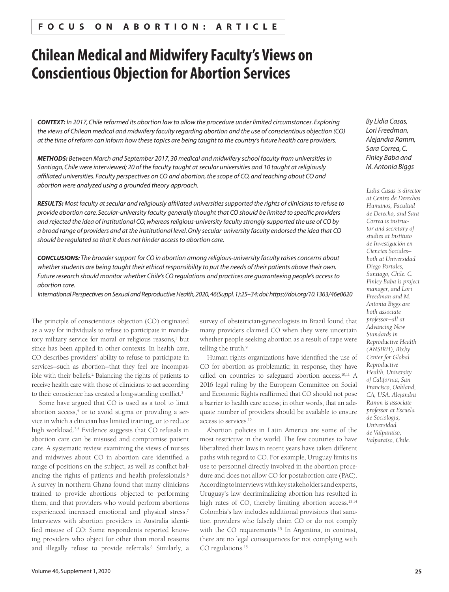# **Chilean Medical and Midwifery Faculty's Views on Conscientious Objection for Abortion Services**

*CONTEXT: In 2017, Chile reformed its abortion law to allow the procedure under limited circumstances. Exploring the views of Chilean medical and midwifery faculty regarding abortion and the use of conscientious objection (CO) at the time of reform can inform how these topics are being taught to the country's future health care providers.*

*METHODS: Between March and September 2017, 30 medical and midwifery school faculty from universities in Santiago, Chile were interviewed; 20 of the faculty taught at secular universities and 10 taught at religiously*  affiliated universities. Faculty perspectives on CO and abortion, the scope of CO, and teaching about CO and *abortion were analyzed using a grounded theory approach.*

*RESULTS: Most faculty at secular and religiously affiliated universities supported the rights of clinicians to refuse to provide abortion care. Secular-university faculty generally thought that CO should be limited to specific providers and rejected the idea of institutional CO, whereas religious-university faculty strongly supported the use of CO by a broad range of providers and at the institutional level. Only secular-university faculty endorsed the idea that CO should be regulated so that it does not hinder access to abortion care.*

*CONCLUSIONS: The broader support for CO in abortion among religious-university faculty raises concerns about*  whether students are being taught their ethical responsibility to put the needs of their patients above their own. *Future research should monitor whether Chile's CO regulations and practices are guaranteeing people's access to abortion care.*

*International Perspectives on Sexual and Reproductive Health, 2020, 46(Suppl. 1):25–34; doi: https://doi.org/10.1363/46e0620*

The principle of conscientious objection (CO) originated as a way for individuals to refuse to participate in mandatory military service for moral or religious reasons,<sup>1</sup> but since has been applied in other contexts. In health care, CO describes providers' ability to refuse to participate in services—such as abortion—that they feel are incompatible with their beliefs.<sup>2</sup> Balancing the rights of patients to receive health care with those of clinicians to act according to their conscience has created a long-standing conflict.<sup>3</sup>

Some have argued that CO is used as a tool to limit abortion access,4 or to avoid stigma or providing a service in which a clinician has limited training, or to reduce high workload.3,5 Evidence suggests that CO refusals in abortion care can be misused and compromise patient care. A systematic review examining the views of nurses and midwives about CO in abortion care identified a range of positions on the subject, as well as conflict balancing the rights of patients and health professionals.<sup>6</sup> A survey in northern Ghana found that many clinicians trained to provide abortions objected to performing them, and that providers who would perform abortions experienced increased emotional and physical stress.<sup>7</sup> Interviews with abortion providers in Australia identified misuse of CO: Some respondents reported knowing providers who object for other than moral reasons and illegally refuse to provide referrals.8 Similarly, a

survey of obstetrician-gynecologists in Brazil found that many providers claimed CO when they were uncertain whether people seeking abortion as a result of rape were telling the truth.<sup>9</sup>

Human rights organizations have identified the use of CO for abortion as problematic; in response, they have called on countries to safeguard abortion access.10,11 A 2016 legal ruling by the European Committee on Social and Economic Rights reaffirmed that CO should not pose a barrier to health care access; in other words, that an adequate number of providers should be available to ensure access to services.12

Abortion policies in Latin America are some of the most restrictive in the world. The few countries to have liberalized their laws in recent years have taken different paths with regard to CO. For example, Uruguay limits its use to personnel directly involved in the abortion procedure and does not allow CO for postabortion care (PAC). According to interviews with key stakeholders and experts, Uruguay's law decriminalizing abortion has resulted in high rates of CO, thereby limiting abortion access.<sup>13,14</sup> Colombia's law includes additional provisions that sanction providers who falsely claim CO or do not comply with the CO requirements.<sup>15</sup> In Argentina, in contrast, there are no legal consequences for not complying with CO regulations.<sup>15</sup>

*By Lidia Casas, Lori Freedman, Alejandra Ramm, Sara Correa, C. Finley Baba and M. Antonia Biggs*

*Lidia Casas is director at Centro de Derechos Humanos, Facultad de Derecho, and Sara Correa is instructor and secretary of studies at Instituto de Investigación en Ciencias Sociales both at Universidad Diego Portales, Santiago, Chile. C. Finley Baba is project manager, and Lori Freedman and M. Antonia Biggs are both associate professor—all at Advancing New Standards in Reproductive Health (ANSIRH), Bixby Center for Global Reproductive Health, University of California, San Francisco, Oakland, CA, USA. Alejandra Ramm is associate professor at Escuela de Sociología, Universidad de Valparaíso, Valparaíso, Chile.*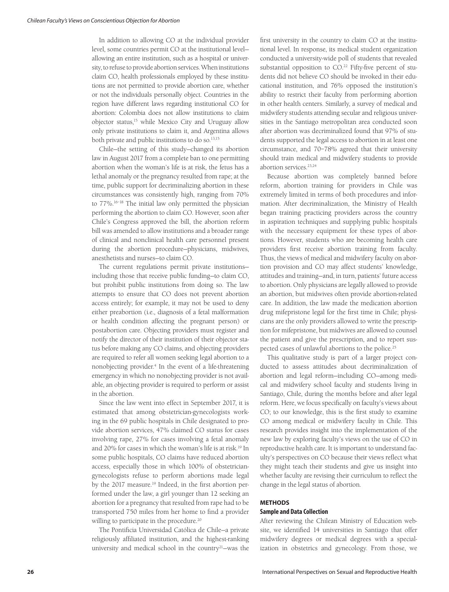In addition to allowing CO at the individual provider level, some countries permit CO at the institutional level allowing an entire institution, such as a hospital or university, to refuse to provide abortion services. When institutions claim CO, health professionals employed by these institutions are not permitted to provide abortion care, whether or not the individuals personally object. Countries in the region have different laws regarding institutional CO for abortion: Colombia does not allow institutions to claim objector status,15 while Mexico City and Uruguay allow only private institutions to claim it, and Argentina allows both private and public institutions to do so.13,15

Chile—the setting of this study—changed its abortion law in August 2017 from a complete ban to one permitting abortion when the woman's life is at risk, the fetus has a lethal anomaly or the pregnancy resulted from rape; at the time, public support for decriminalizing abortion in these circumstances was consistently high, ranging from 70% to 77%.16–18 The initial law only permitted the physician performing the abortion to claim CO. However, soon after Chile's Congress approved the bill, the abortion reform bill was amended to allow institutions and a broader range of clinical and nonclinical health care personnel present during the abortion procedure—physicians, midwives, anesthetists and nurses—to claim CO.

The current regulations permit private institutions including those that receive public funding—to claim CO, but prohibit public institutions from doing so. The law attempts to ensure that CO does not prevent abortion access entirely; for example, it may not be used to deny either preabortion (i.e., diagnosis of a fetal malformation or health condition affecting the pregnant person) or postabortion care. Objecting providers must register and notify the director of their institution of their objector status before making any CO claims, and objecting providers are required to refer all women seeking legal abortion to a nonobjecting provider.4 In the event of a life-threatening emergency in which no nonobjecting provider is not available, an objecting provider is required to perform or assist in the abortion.

Since the law went into effect in September 2017, it is estimated that among obstetrician-gynecologists working in the 69 public hospitals in Chile designated to provide abortion services, 47% claimed CO status for cases involving rape, 27% for cases involving a fetal anomaly and 20% for cases in which the woman's life is at risk.<sup>19</sup> In some public hospitals, CO claims have reduced abortion access, especially those in which 100% of obstetriciangynecologists refuse to perform abortions made legal by the 2017 measure.<sup>19</sup> Indeed, in the first abortion performed under the law, a girl younger than 12 seeking an abortion for a pregnancy that resulted from rape had to be transported 750 miles from her home to find a provider willing to participate in the procedure.<sup>20</sup>

The Pontificia Universidad Católica de Chile—a private religiously affiliated institution, and the highest-ranking university and medical school in the country<sup>21</sup>-was the

first university in the country to claim CO at the institutional level. In response, its medical student organization conducted a university-wide poll of students that revealed substantial opposition to CO.<sup>22</sup> Fifty-five percent of students did not believe CO should be invoked in their educational institution, and 76% opposed the institution's ability to restrict their faculty from performing abortion in other health centers. Similarly, a survey of medical and midwifery students attending secular and religious universities in the Santiago metropolitan area conducted soon after abortion was decriminalized found that 97% of students supported the legal access to abortion in at least one circumstance, and 70–78% agreed that their university should train medical and midwifery students to provide abortion services.23,24

Because abortion was completely banned before reform, abortion training for providers in Chile was extremely limited in terms of both procedures and information. After decriminalization, the Ministry of Health began training practicing providers across the country in aspiration techniques and supplying public hospitals with the necessary equipment for these types of abortions. However, students who are becoming health care providers first receive abortion training from faculty. Thus, the views of medical and midwifery faculty on abortion provision and CO may affect students' knowledge, attitudes and training—and, in turn, patients' future access to abortion. Only physicians are legally allowed to provide an abortion, but midwives often provide abortion-related care. In addition, the law made the medication abortion drug mifepristone legal for the first time in Chile; physicians are the only providers allowed to write the prescription for mifepristone, but midwives are allowed to counsel the patient and give the prescription, and to report suspected cases of unlawful abortions to the police.25

This qualitative study is part of a larger project conducted to assess attitudes about decriminalization of abortion and legal reform—including CO—among medical and midwifery school faculty and students living in Santiago, Chile, during the months before and after legal reform. Here, we focus specifically on faculty's views about CO; to our knowledge, this is the first study to examine CO among medical or midwifery faculty in Chile. This research provides insight into the implementation of the new law by exploring faculty's views on the use of CO in reproductive health care. It is important to understand faculty's perspectives on CO because their views reflect what they might teach their students and give us insight into whether faculty are revising their curriculum to reflect the change in the legal status of abortion.

#### **METHODS**

#### **Sample and Data Collection**

After reviewing the Chilean Ministry of Education website, we identified 14 universities in Santiago that offer midwifery degrees or medical degrees with a specialization in obstetrics and gynecology. From those, we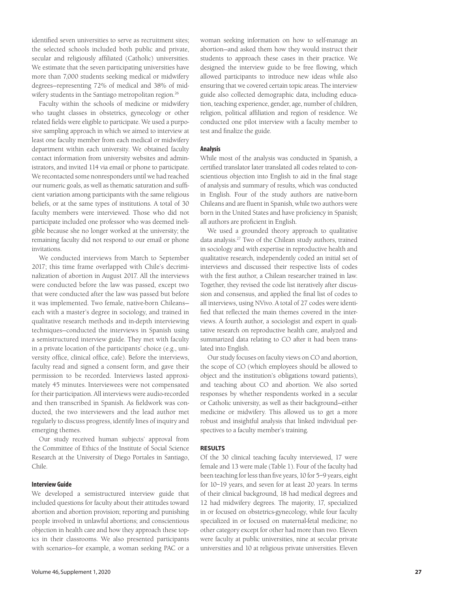identified seven universities to serve as recruitment sites; the selected schools included both public and private, secular and religiously affiliated (Catholic) universities. We estimate that the seven participating universities have more than 7,000 students seeking medical or midwifery degrees—representing 72% of medical and 38% of midwifery students in the Santiago metropolitan region.<sup>26</sup>

Faculty within the schools of medicine or midwifery who taught classes in obstetrics, gynecology or other related fields were eligible to participate. We used a purposive sampling approach in which we aimed to interview at least one faculty member from each medical or midwifery department within each university. We obtained faculty contact information from university websites and administrators, and invited 114 via email or phone to participate. We recontacted some nonresponders until we had reached our numeric goals, as well as thematic saturation and sufficient variation among participants with the same religious beliefs, or at the same types of institutions. A total of 30 faculty members were interviewed. Those who did not participate included one professor who was deemed ineligible because she no longer worked at the university; the remaining faculty did not respond to our email or phone invitations.

We conducted interviews from March to September 2017; this time frame overlapped with Chile's decriminalization of abortion in August 2017. All the interviews were conducted before the law was passed, except two that were conducted after the law was passed but before it was implemented. Two female, native-born Chileans each with a master's degree in sociology, and trained in qualitative research methods and in-depth interviewing techniques—conducted the interviews in Spanish using a semistructured interview guide. They met with faculty in a private location of the participants' choice (e.g., university office, clinical office, cafe). Before the interviews, faculty read and signed a consent form, and gave their permission to be recorded. Interviews lasted approximately 45 minutes. Interviewees were not compensated for their participation. All interviews were audio-recorded and then transcribed in Spanish. As fieldwork was conducted, the two interviewers and the lead author met regularly to discuss progress, identify lines of inquiry and emerging themes.

Our study received human subjects' approval from the Committee of Ethics of the Institute of Social Science Research at the University of Diego Portales in Santiago, Chile.

# **Interview Guide**

We developed a semistructured interview guide that included questions for faculty about their attitudes toward abortion and abortion provision; reporting and punishing people involved in unlawful abortions; and conscientious objection in health care and how they approach these topics in their classrooms. We also presented participants with scenarios—for example, a woman seeking PAC or a woman seeking information on how to self-manage an abortion—and asked them how they would instruct their students to approach these cases in their practice. We designed the interview guide to be free flowing, which allowed participants to introduce new ideas while also ensuring that we covered certain topic areas. The interview guide also collected demographic data, including education, teaching experience, gender, age, number of children, religion, political affiliation and region of residence. We conducted one pilot interview with a faculty member to test and finalize the guide.

# **Analysis**

While most of the analysis was conducted in Spanish, a certified translator later translated all codes related to conscientious objection into English to aid in the final stage of analysis and summary of results, which was conducted in English. Four of the study authors are native-born Chileans and are fluent in Spanish, while two authors were born in the United States and have proficiency in Spanish; all authors are proficient in English.

We used a grounded theory approach to qualitative data analysis.27 Two of the Chilean study authors, trained in sociology and with expertise in reproductive health and qualitative research, independently coded an initial set of interviews and discussed their respective lists of codes with the first author, a Chilean researcher trained in law. Together, they revised the code list iteratively after discussion and consensus, and applied the final list of codes to all interviews, using NVivo. A total of 27 codes were identified that reflected the main themes covered in the interviews. A fourth author, a sociologist and expert in qualitative research on reproductive health care, analyzed and summarized data relating to CO after it had been translated into English.

Our study focuses on faculty views on CO and abortion, the scope of CO (which employees should be allowed to object and the institution's obligations toward patients), and teaching about CO and abortion. We also sorted responses by whether respondents worked in a secular or Catholic university, as well as their background—either medicine or midwifery. This allowed us to get a more robust and insightful analysis that linked individual perspectives to a faculty member's training.

# **RESULTS**

Of the 30 clinical teaching faculty interviewed, 17 were female and 13 were male (Table 1). Four of the faculty had been teaching for less than five years, 10 for 5–9 years, eight for 10–19 years, and seven for at least 20 years. In terms of their clinical background, 18 had medical degrees and 12 had midwifery degrees. The majority, 17, specialized in or focused on obstetrics-gynecology, while four faculty specialized in or focused on maternal-fetal medicine; no other category except for other had more than two. Eleven were faculty at public universities, nine at secular private universities and 10 at religious private universities. Eleven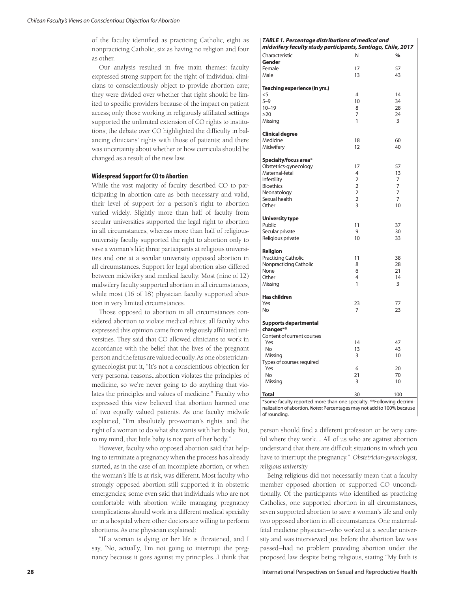of the faculty identified as practicing Catholic, eight as nonpracticing Catholic, six as having no religion and four as other.

Our analysis resulted in five main themes: faculty expressed strong support for the right of individual clinicians to conscientiously object to provide abortion care; they were divided over whether that right should be limited to specific providers because of the impact on patient access; only those working in religiously affiliated settings supported the unlimited extension of CO rights to institutions; the debate over CO highlighted the difficulty in balancing clinicians' rights with those of patients; and there was uncertainty about whether or how curricula should be changed as a result of the new law.

# **Widespread Support for CO to Abortion**

While the vast majority of faculty described CO to participating in abortion care as both necessary and valid, their level of support for a person's right to abortion varied widely. Slightly more than half of faculty from secular universities supported the legal right to abortion in all circumstances, whereas more than half of religiousuniversity faculty supported the right to abortion only to save a woman's life; three participants at religious universities and one at a secular university opposed abortion in all circumstances. Support for legal abortion also differed between midwifery and medical faculty: Most (nine of 12) midwifery faculty supported abortion in all circumstances, while most (16 of 18) physician faculty supported abortion in very limited circumstances.

Those opposed to abortion in all circumstances considered abortion to violate medical ethics; all faculty who expressed this opinion came from religiously affiliated universities. They said that CO allowed clinicians to work in accordance with the belief that the lives of the pregnant person and the fetus are valued equally. As one obstetriciangynecologist put it, "It's not a conscientious objection for very personal reasons…abortion violates the principles of medicine, so we're never going to do anything that violates the principles and values of medicine." Faculty who expressed this view believed that abortion harmed one of two equally valued patients. As one faculty midwife explained, "I'm absolutely pro-women's rights, and the right of a woman to do what she wants with her body. But, to my mind, that little baby is not part of her body."

However, faculty who opposed abortion said that helping to terminate a pregnancy when the process has already started, as in the case of an incomplete abortion, or when the woman's life is at risk, was different. Most faculty who strongly opposed abortion still supported it in obstetric emergencies; some even said that individuals who are not comfortable with abortion while managing pregnancy complications should work in a different medical specialty or in a hospital where other doctors are willing to perform abortions. As one physician explained:

"If a woman is dying or her life is threatened, and I say, 'No, actually, I'm not going to interrupt the pregnancy because it goes against my principles...I think that

# *TABLE 1. Percentage distributions of medical and*

| midwifery faculty study participants, Santiago, Chile, 2017 |                |                |
|-------------------------------------------------------------|----------------|----------------|
| Characteristic                                              | N              | %              |
| Gender                                                      |                |                |
| Female                                                      | 17             | 57             |
| Male                                                        | 13             | 43             |
| Teaching experience (in yrs.)                               |                |                |
| $<$ 5                                                       | $\overline{4}$ | 14             |
| $5 - 9$                                                     | 10             | 34             |
| $10 - 19$                                                   | 8              | 28             |
| $\geq$ 20                                                   | 7              | 24             |
| Missing                                                     | 1              | 3              |
|                                                             |                |                |
| <b>Clinical degree</b>                                      |                | 60             |
| Medicine                                                    | 18<br>12       | 40             |
| Midwifery                                                   |                |                |
| Specialty/focus area*                                       |                |                |
| Obstetrics-gynecology                                       | 17             | 57             |
| Maternal-fetal                                              | 4              | 13             |
| Infertility                                                 | 2              | 7              |
| <b>Bioethics</b>                                            | $\overline{2}$ | $\overline{7}$ |
| Neonatology                                                 | $\overline{2}$ | 7              |
| Sexual health                                               | $\overline{2}$ | 7              |
| Other                                                       | 3              | 10             |
| <b>University type</b>                                      |                |                |
| Public                                                      | 11             | 37             |
| Secular private                                             | 9              | 30             |
| Religious private                                           | 10             | 33             |
| Religion                                                    |                |                |
| <b>Practicing Catholic</b>                                  | 11             | 38             |
| Nonpracticing Catholic                                      | 8              | 28             |
| None                                                        | 6              | 21             |
| Other                                                       | 4              | 14             |
| Missing                                                     | 1              | 3              |
| <b>Has children</b>                                         |                |                |
| Yes                                                         | 23             | 77             |
| No                                                          | 7              | 23             |
|                                                             |                |                |
| Supports departmental<br>changes**                          |                |                |
| Content of current courses                                  |                |                |
| Yes                                                         | 14             | 47             |
| No                                                          | 13             | 43             |
| Missing                                                     | 3              | 10             |
| Types of courses required                                   |                |                |
| Yes                                                         | 6              | 20             |
| No                                                          | 21             | 70             |
| Missing                                                     | 3              | 10             |
|                                                             |                |                |
| <b>Total</b>                                                | 30             | 100            |

\*Some faculty reported more than one specialty. \*\*Following decriminalization of abortion. *Notes*: Percentages may not add to 100% because of rounding.

person should find a different profession or be very careful where they work.... All of us who are against abortion understand that there are difficult situations in which you have to interrupt the pregnancy."*—Obstetrician-gynecologist, religious university*

Being religious did not necessarily mean that a faculty member opposed abortion or supported CO unconditionally. Of the participants who identified as practicing Catholics, one supported abortion in all circumstances, seven supported abortion to save a woman's life and only two opposed abortion in all circumstances. One maternalfetal medicine physician—who worked at a secular university and was interviewed just before the abortion law was passed—had no problem providing abortion under the proposed law despite being religious, stating "My faith is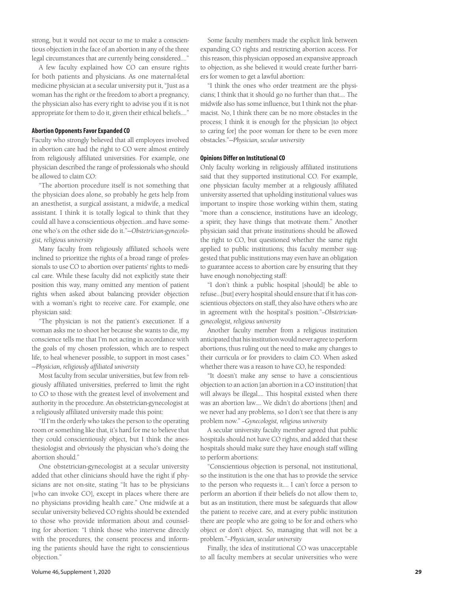strong, but it would not occur to me to make a conscientious objection in the face of an abortion in any of the three legal circumstances that are currently being considered...."

A few faculty explained how CO can ensure rights for both patients and physicians. As one maternal-fetal medicine physician at a secular university put it, "Just as a woman has the right or the freedom to abort a pregnancy, the physician also has every right to advise you if it is not appropriate for them to do it, given their ethical beliefs...."

# **Abortion Opponents Favor Expanded CO**

Faculty who strongly believed that all employees involved in abortion care had the right to CO were almost entirely from religiously affiliated universities. For example, one physician described the range of professionals who should be allowed to claim CO:

"The abortion procedure itself is not something that the physician does alone, so probably he gets help from an anesthetist, a surgical assistant, a midwife, a medical assistant. I think it is totally logical to think that they could all have a conscientious objection…and have someone who's on the other side do it."—*Obstetrician-gynecologist, religious university*

Many faculty from religiously affiliated schools were inclined to prioritize the rights of a broad range of professionals to use CO to abortion over patients' rights to medical care. While these faculty did not explicitly state their position this way, many omitted any mention of patient rights when asked about balancing provider objection with a woman's right to receive care. For example, one physician said:

"The physician is not the patient's executioner. If a woman asks me to shoot her because she wants to die, my conscience tells me that I'm not acting in accordance with the goals of my chosen profession, which are to respect life, to heal whenever possible, to support in most cases." —*Physician, religiously affiliated university*

Most faculty from secular universities, but few from religiously affiliated universities, preferred to limit the right to CO to those with the greatest level of involvement and authority in the procedure. An obstetrician-gynecologist at a religiously affiliated university made this point:

"If I'm the orderly who takes the person to the operating room or something like that, it's hard for me to believe that they could conscientiously object, but I think the anesthesiologist and obviously the physician who's doing the abortion should."

One obstetrician-gynecologist at a secular university added that other clinicians should have the right if physicians are not on-site, stating "It has to be physicians [who can invoke CO], except in places where there are no physicians providing health care." One midwife at a secular university believed CO rights should be extended to those who provide information about and counseling for abortion: "I think those who intervene directly with the procedures, the consent process and informing the patients should have the right to conscientious objection."

Some faculty members made the explicit link between expanding CO rights and restricting abortion access. For this reason, this physician opposed an expansive approach to objection, as she believed it would create further barriers for women to get a lawful abortion:

"I think the ones who order treatment are the physicians; I think that it should go no further than that.… The midwife also has some influence, but I think not the pharmacist. No, I think there can be no more obstacles in the process; I think it is enough for the physician [to object to caring for] the poor woman for there to be even more obstacles."—*Physician, secular university*

#### **Opinions Differ on Institutional CO**

Only faculty working in religiously affiliated institutions said that they supported institutional CO. For example, one physician faculty member at a religiously affiliated university asserted that upholding institutional values was important to inspire those working within them, stating "more than a conscience, institutions have an ideology, a spirit; they have things that motivate them." Another physician said that private institutions should be allowed the right to CO, but questioned whether the same right applied to public institutions; this faculty member suggested that public institutions may even have an obligation to guarantee access to abortion care by ensuring that they have enough nonobjecting staff:

"I don't think a public hospital [should] be able to refuse…[but] every hospital should ensure that if it has conscientious objectors on staff, they also have others who are in agreement with the hospital's position."*—Obstetriciangynecologist, religious university*

Another faculty member from a religious institution anticipated that his institution would never agree to perform abortions, thus ruling out the need to make any changes to their curricula or for providers to claim CO. When asked whether there was a reason to have CO, he responded:

"It doesn't make any sense to have a conscientious objection to an action [an abortion in a CO institution] that will always be illegal…. This hospital existed when there was an abortion law.... We didn't do abortions [then] and we never had any problems, so I don't see that there is any problem now." *—Gynecologist, religious university*

A secular university faculty member agreed that public hospitals should not have CO rights, and added that these hospitals should make sure they have enough staff willing to perform abortions:

"Conscientious objection is personal, not institutional, so the institution is the one that has to provide the service to the person who requests it…. I can't force a person to perform an abortion if their beliefs do not allow them to, but as an institution, there must be safeguards that allow the patient to receive care, and at every public institution there are people who are going to be for and others who object or don't object. So, managing that will not be a problem."*—Physician, secular university*

Finally, the idea of institutional CO was unacceptable to all faculty members at secular universities who were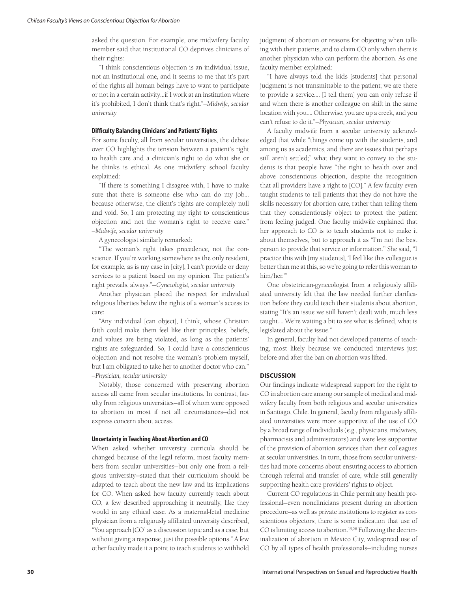asked the question. For example, one midwifery faculty member said that institutional CO deprives clinicians of their rights:

"I think conscientious objection is an individual issue, not an institutional one, and it seems to me that it's part of the rights all human beings have to want to participate or not in a certain activity…if I work at an institution where it's prohibited, I don't think that's right."*—Midwife, secular university*

# **Difficulty Balancing Clinicians' and Patients' Rights**

For some faculty, all from secular universities, the debate over CO highlights the tension between a patient's right to health care and a clinician's right to do what she or he thinks is ethical. As one midwifery school faculty explained:

"If there is something I disagree with, I have to make sure that there is someone else who can do my job… because otherwise, the client's rights are completely null and void. So, I am protecting my right to conscientious objection and not the woman's right to receive care." *—Midwife, secular university*

A gynecologist similarly remarked:

"The woman's right takes precedence, not the conscience. If you're working somewhere as the only resident, for example, as is my case in [city], I can't provide or deny services to a patient based on my opinion. The patient's right prevails, always."—*Gynecologist, secular university*

Another physician placed the respect for individual religious liberties below the rights of a woman's access to care:

"Any individual [can object], I think, whose Christian faith could make them feel like their principles, beliefs, and values are being violated, as long as the patients' rights are safeguarded. So, I could have a conscientious objection and not resolve the woman's problem myself, but I am obligated to take her to another doctor who can." *—Physician, secular university*

Notably, those concerned with preserving abortion access all came from secular institutions. In contrast, faculty from religious universities—all of whom were opposed to abortion in most if not all circumstances—did not express concern about access.

#### **Uncertainty in Teaching About Abortion and CO**

When asked whether university curricula should be changed because of the legal reform, most faculty members from secular universities—but only one from a religious university—stated that their curriculum should be adapted to teach about the new law and its implications for CO. When asked how faculty currently teach about CO, a few described approaching it neutrally, like they would in any ethical case. As a maternal-fetal medicine physician from a religiously affiliated university described, "You approach [CO] as a discussion topic and as a case, but without giving a response, just the possible options." A few other faculty made it a point to teach students to withhold judgment of abortion or reasons for objecting when talking with their patients, and to claim CO only when there is another physician who can perform the abortion. As one faculty member explained:

"I have always told the kids [students] that personal judgment is not transmittable to the patient; we are there to provide a service.… [I tell them] you can only refuse if and when there is another colleague on shift in the same location with you…. Otherwise, you are up a creek, and you can't refuse to do it."*—Physician, secular university*

A faculty midwife from a secular university acknowledged that while "things come up with the students, and among us as academics, and there are issues that perhaps still aren't settled;" what they want to convey to the students is that people have "the right to health over and above conscientious objection, despite the recognition that all providers have a right to [CO]." A few faculty even taught students to tell patients that they do not have the skills necessary for abortion care, rather than telling them that they conscientiously object to protect the patient from feeling judged. One faculty midwife explained that her approach to CO is to teach students not to make it about themselves, but to approach it as "I'm not the best person to provide that service or information." She said, "I practice this with [my students], 'I feel like this colleague is better than me at this, so we're going to refer this woman to him/her.'"

One obstetrician-gynecologist from a religiously affiliated university felt that the law needed further clarification before they could teach their students about abortion, stating "It's an issue we still haven't dealt with, much less taught…. We're waiting a bit to see what is defined, what is legislated about the issue."

In general, faculty had not developed patterns of teaching, most likely because we conducted interviews just before and after the ban on abortion was lifted.

# **DISCUSSION**

Our findings indicate widespread support for the right to CO in abortion care among our sample of medical and midwifery faculty from both religious and secular universities in Santiago, Chile. In general, faculty from religiously affiliated universities were more supportive of the use of CO by a broad range of individuals (e.g., physicians, midwives, pharmacists and administrators) and were less supportive of the provision of abortion services than their colleagues at secular universities. In turn, those from secular universities had more concerns about ensuring access to abortion through referral and transfer of care, while still generally supporting health care providers' rights to object.

Current CO regulations in Chile permit any health professional—even nonclinicians present during an abortion procedure—as well as private institutions to register as conscientious objectors; there is some indication that use of CO is limiting access to abortion.<sup>19,28</sup> Following the decriminalization of abortion in Mexico City, widespread use of CO by all types of health professionals—including nurses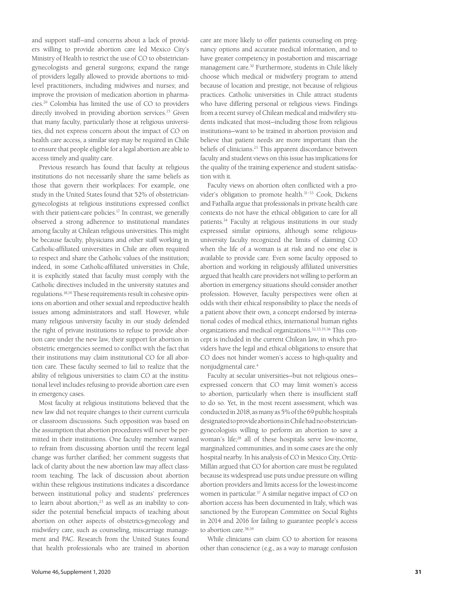and support staff—and concerns about a lack of providers willing to provide abortion care led Mexico City's Ministry of Health to restrict the use of CO to obstetriciangynecologists and general surgeons; expand the range of providers legally allowed to provide abortions to midlevel practitioners, including midwives and nurses; and improve the provision of medication abortion in pharmacies.29 Colombia has limited the use of CO to providers directly involved in providing abortion services.<sup>15</sup> Given that many faculty, particularly those at religious universities, did not express concern about the impact of CO on health care access, a similar step may be required in Chile to ensure that people eligible for a legal abortion are able to access timely and quality care.

Previous research has found that faculty at religious institutions do not necessarily share the same beliefs as those that govern their workplaces: For example, one study in the United States found that 52% of obstetriciangynecologists at religious institutions expressed conflict with their patient-care policies.<sup>17</sup> In contrast, we generally observed a strong adherence to institutional mandates among faculty at Chilean religious universities. This might be because faculty, physicians and other staff working in Catholic-affiliated universities in Chile are often required to respect and share the Catholic values of the institution; indeed, in some Catholic-affiliated universities in Chile, it is explicitly stated that faculty must comply with the Catholic directives included in the university statutes and regulations.18,19 These requirements result in cohesive opinions on abortion and other sexual and reproductive health issues among administrators and staff. However, while many religious university faculty in our study defended the right of private institutions to refuse to provide abortion care under the new law, their support for abortion in obstetric emergencies seemed to conflict with the fact that their institutions may claim institutional CO for all abortion care. These faculty seemed to fail to realize that the ability of religious universities to claim CO at the institutional level includes refusing to provide abortion care even in emergency cases.

Most faculty at religious institutions believed that the new law did not require changes to their current curricula or classroom discussions. Such opposition was based on the assumption that abortion procedures will never be permitted in their institutions. One faculty member wanted to refrain from discussing abortion until the recent legal change was further clarified; her comment suggests that lack of clarity about the new abortion law may affect classroom teaching. The lack of discussion about abortion within these religious institutions indicates a discordance between institutional policy and students' preferences to learn about abortion,<sup>23</sup> as well as an inability to consider the potential beneficial impacts of teaching about abortion on other aspects of obstetrics-gynecology and midwifery care, such as counseling, miscarriage management and PAC. Research from the United States found that health professionals who are trained in abortion

care are more likely to offer patients counseling on pregnancy options and accurate medical information, and to have greater competency in postabortion and miscarriage management care.30 Furthermore, students in Chile likely choose which medical or midwifery program to attend because of location and prestige, not because of religious practices. Catholic universities in Chile attract students who have differing personal or religious views. Findings from a recent survey of Chilean medical and midwifery students indicated that most—including those from religious institutions—want to be trained in abortion provision and believe that patient needs are more important than the beliefs of clinicians.23 This apparent discordance between faculty and student views on this issue has implications for the quality of the training experience and student satisfaction with it.

Faculty views on abortion often conflicted with a provider's obligation to promote health.<sup>31-33</sup> Cook, Dickens and Fathalla argue that professionals in private health care contexts do not have the ethical obligation to care for all patients.<sup>34</sup> Faculty at religious institutions in our study expressed similar opinions, although some religiousuniversity faculty recognized the limits of claiming CO when the life of a woman is at risk and no one else is available to provide care. Even some faculty opposed to abortion and working in religiously affiliated universities argued that health care providers not willing to perform an abortion in emergency situations should consider another profession. However, faculty perspectives were often at odds with their ethical responsibility to place the needs of a patient above their own, a concept endorsed by international codes of medical ethics, international human rights organizations and medical organizations.32,33,35,36 This concept is included in the current Chilean law, in which providers have the legal and ethical obligations to ensure that CO does not hinder women's access to high-quality and nonjudgmental care.4

Faculty at secular universities—but not religious ones expressed concern that CO may limit women's access to abortion, particularly when there is insufficient staff to do so. Yet, in the most recent assessment, which was conducted in 2018, as many as 5% of the 69 public hospitals designated to provide abortions in Chile had no obstetriciangynecologists willing to perform an abortion to save a woman's life;28 all of these hospitals serve low-income, marginalized communities, and in some cases are the only hospital nearby. In his analysis of CO in Mexico City, Ortíz-Millán argued that CO for abortion care must be regulated because its widespread use puts undue pressure on willing abortion providers and limits access for the lowest-income women in particular.37 A similar negative impact of CO on abortion access has been documented in Italy, which was sanctioned by the European Committee on Social Rights in 2014 and 2016 for failing to guarantee people's access to abortion care.38,39

While clinicians can claim CO to abortion for reasons other than conscience (e.g., as a way to manage confusion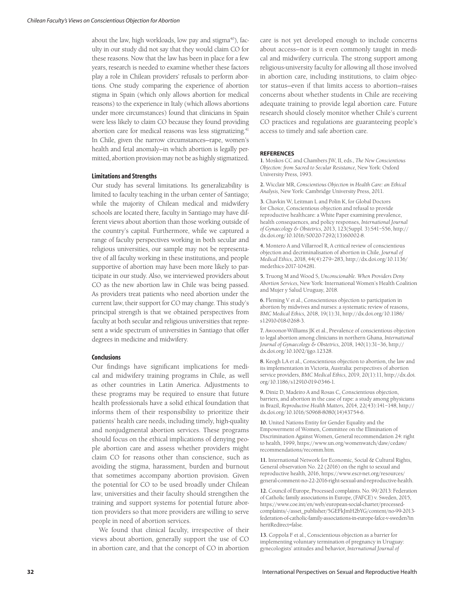about the law, high workloads, low pay and stigma $40$ , faculty in our study did not say that they would claim CO for these reasons. Now that the law has been in place for a few years, research is needed to examine whether these factors play a role in Chilean providers' refusals to perform abortions. One study comparing the experience of abortion stigma in Spain (which only allows abortion for medical reasons) to the experience in Italy (which allows abortions under more circumstances) found that clinicians in Spain were less likely to claim CO because they found providing abortion care for medical reasons was less stigmatizing.<sup>41</sup> In Chile, given the narrow circumstances—rape, women's health and fetal anomaly—in which abortion is legally permitted, abortion provision may not be as highly stigmatized.

#### **Limitations and Strengths**

Our study has several limitations. Its generalizability is limited to faculty teaching in the urban center of Santiago; while the majority of Chilean medical and midwifery schools are located there, faculty in Santiago may have different views about abortion than those working outside of the country's capital. Furthermore, while we captured a range of faculty perspectives working in both secular and religious universities, our sample may not be representative of all faculty working in these institutions, and people supportive of abortion may have been more likely to participate in our study. Also, we interviewed providers about CO as the new abortion law in Chile was being passed. As providers treat patients who need abortion under the current law, their support for CO may change. This study's principal strength is that we obtained perspectives from faculty at both secular and religious universities that represent a wide spectrum of universities in Santiago that offer degrees in medicine and midwifery.

# **Conclusions**

Our findings have significant implications for medical and midwifery training programs in Chile, as well as other countries in Latin America. Adjustments to these programs may be required to ensure that future health professionals have a solid ethical foundation that informs them of their responsibility to prioritize their patients' health care needs, including timely, high-quality and nonjudgmental abortion services. These programs should focus on the ethical implications of denying people abortion care and assess whether providers might claim CO for reasons other than conscience, such as avoiding the stigma, harassment, burden and burnout that sometimes accompany abortion provision. Given the potential for CO to be used broadly under Chilean law, universities and their faculty should strengthen the training and support systems for potential future abortion providers so that more providers are willing to serve people in need of abortion services.

We found that clinical faculty, irrespective of their views about abortion, generally support the use of CO in abortion care, and that the concept of CO in abortion care is not yet developed enough to include concerns about access—nor is it even commonly taught in medical and midwifery curricula. The strong support among religious-university faculty for allowing all those involved in abortion care, including institutions, to claim objector status—even if that limits access to abortion—raises concerns about whether students in Chile are receiving adequate training to provide legal abortion care. Future research should closely monitor whether Chile's current CO practices and regulations are guaranteeing people's access to timely and safe abortion care.

#### **REFERENCES**

**1.** Moskos CC and Chambers JW, II, eds., *The New Conscientious Objection: from Sacred to Secular Resistance*, New York: Oxford University Press, 1993.

**2.** Wicclair MR, *Conscientious Objection in Health Care: an Ethical Analysis*, New York: Cambridge University Press, 2011.

**3.** Chavkin W, Leitman L and Polin K, for Global Doctors for Choice, Conscientious objection and refusal to provide reproductive healthcare: a White Paper examining prevalence, health consequences, and policy responses, *International Journal of Gynaecology & Obstetrics*, 2013, 123(Suppl. 3):S41–S56, http:// dx.doi.org/10.1016/S0020-7292(13)60002-8.

**4.** Montero A and Villarroel R, A critical review of conscientious objection and decriminalisation of abortion in Chile, *Journal of Medical Ethics*, 2018, 44(4):279–283, http://dx.doi.org/10.1136/ medethics-2017-104281.

**5.** Truong M and Wood S, *Unconscionable. When Providers Deny Abortion Services*, New York: International Women's Health Coalition and Mujer y Salud Uruguay, 2018.

**6.** Fleming V et al., Conscientious objection to participation in abortion by midwives and nurses: a systematic review of reasons, *BMC Medical Ethics*, 2018, 19(1):31, http://dx.doi.org/10.1186/ s12910-018-0268-3.

**7.** Awoonor-Williams JK et al., Prevalence of conscientious objection to legal abortion among clinicians in northern Ghana, *International Journal of Gynaecology & Obstetrics*, 2018, 140(1):31–36, http:// dx.doi.org/10.1002/ijgo.12328.

**8.** Keogh LA et al., Conscientious objection to abortion, the law and its implementation in Victoria, Australia: perspectives of abortion service providers, *BMC Medical Ethics*, 2019, 20(1):11, http://dx.doi. org/10.1186/s12910-019-0346-1.

**9.** Diniz D, Madeiro A and Rosas C, Conscientious objection, barriers, and abortion in the case of rape: a study among physicians in Brazil, *Reproductive Health Matters*, 2014, 22(43):141–148, http:// dx.doi.org/10.1016/S0968-8080(14)43754-6.

**10.** United Nations Entity for Gender Equality and the Empowerment of Women, Committee on the Elimination of Discrimination Against Women, General recommendation 24: right to health, 1999, https://www.un.org/womenwatch/daw/cedaw/ recommendations/recomm.htm.

**11.** International Network for Economic, Social & Cultural Rights, General observation No. 22 (2016) on the right to sexual and reproductive health, 2016, https://www.escr-net.org/resources/ general-comment-no-22-2016-right-sexual-and-reproductive-health.

**12.** Council of Europe, Processed complaints. No. 99/2013: Federation of Catholic family associations in Europe, (FAFCE) v. Sweden, 2015, https://www.coe.int/en/web/european-social-charter/processedcomplaints/-/asset\_publisher/5GEFkJmH2bYG/content/no-99-2013 federation-of-catholic-family-associations-in-europe-fafce-v-sweden?in heritRedirect=false.

**13.** Coppola F et al., Conscientious objection as a barrier for implementing voluntary termination of pregnancy in Uruguay: gynecologists' attitudes and behavior, *International Journal of*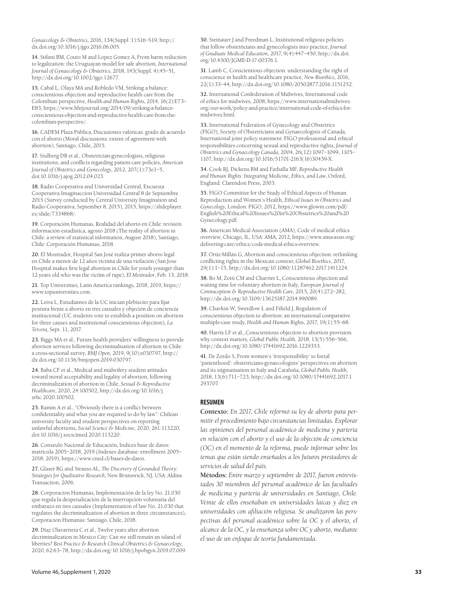*Gynaecology & Obstetrics*, 2016, 134(Suppl. 1):S16–S19, http:// dx.doi.org/10.1016/j.ijgo.2016.06.005.

**14.** Stifani BM, Couto M and Lopez Gomez A, From harm reduction to legalization: the Uruguayan model for safe abortion, *International Journal of Gynaecology & Obstetrics*, 2018, 143(Suppl. 4):45–51, http://dx.doi.org/10.1002/ijgo.12677.

**15.** Cabal L, Olaya MA and Robledo VM, Striking a balance: conscientious objection and reproductive health care from the Colombian perspective, *Health and Human Rights*, 2014, 16(2):E73– E83, https://www.hhrjournal.org/2014/09/striking-a-balanceconscientious-objection-and-reproductive-health-care-from-thecolombian-perspective/.

**16.** CADEM Plaza Pública, Discusiones valóricas: grado de acuerdo con el aborto (Moral discussions: extent of agreement with abortion), Santiago, Chile, 2015.

**17.** Stulberg DB et al., Obstetrician-gynecologists, religious institutions, and conflicts regarding patient-care policies, *American Journal of Obstetrics and Gynecology*, 2012, 207(1):73e1–5, doi:10.1016/j.ajog.2012.04.023.

**18.** Radio Cooperativa and Universidad Central, Encuesta Cooperativa Imaginaccion Universidad Central 8 de Septiembre 2015 (Survey conducted by Central University Imagination and Radio Cooperativa, September 8, 2015), 2015, https://slideplayer. es/slide/7334868/.

**19.** Corporación Humanas, Realidad del aborto en Chile: revisión información estadística, agosto 2018 (The reality of abortion in Chile: a review of statistical information, August 2018), Santiago, Chile: Corporación Humanas, 2018.

**20.** El Mostrador, Hospital San José realiza primer aborto legal en Chile a menor de 12 años víctima de una violación (San Jose Hospital makes first legal abortion in Chile for youth younger than 12 years old who was the victim of rape), *El Mostrador*, Feb. 13, 2018.

**21.** Top Universities, Latin America rankings, 2018, 2019, https:// www.topuniversities.com.

**22.** Leiva L, Estudiantes de la UC inician plebiscito para fijar postura frente a aborto en tres causales y objeción de conciencia institucional (UC students vote to establish a position on abortion for three causes and institutional conscientious objection), *La Tercera*, Sept. 11, 2017.

**23.** Biggs MA et al., Future health providers' willingness to provide abortion services following decriminalisation of abortion in Chile: a cross-sectional survey, *BMJ Open*, 2019, 9(10):e030797, http:// dx.doi.org/10.1136/bmjopen-2019-030797.

**24.** Baba CF et al., Medical and midwifery student attitudes toward moral acceptability and legality of abortion, following decriminalization of abortion in Chile, *Sexual & Reproductive Healthcare*, 2020, 24:100502, http://dx.doi.org/10.1016/j. srhc.2020.100502.

**25.** Ramm A et al., "Obviously there is a conflict between confidentiality and what you are required to do by law": Chilean university faculty and student perspectives on reporting unlawful abortions, *Social Science & Medicine*, 2020, 261:113220, doi:10.1016/j.socscimed.2020.113220.

**26.** Conseulo Nacional de Educación, Indices base de datos: matrícula 2005–2018, 2019 (Indexes database: enrollment 2005– 2018, 2019), https://www.cned.cl/bases-de-datos.

**27.** Glaser BG and Strauss AL, *The Discovery of Grounded Theory: Strategies for Qualitative Research*, New Brunswick, NJ, USA: Aldine Transaction, 2006.

**28.** Corporacion Humanas, Implementación de la ley No. 21.030 que regula la despenalización de la interrupción voluntaria del embarazo en tres causales (Implementation of law No. 21.030 that regulates the decriminalization of abortion in three circumstances), Corporacion Humanas: Santiago, Chile, 2018.

**29.** Díaz Olavarrieta C et al., Twelve years after abortion decriminalization in Mexico City: Can we still remain an island of liberties? *Best Practice & Research Clinical Obstetrics & Gynaecology*, 2020, 62:63–78, http://dx.doi.org/10.1016/j.bpobgyn.2019.07.009.

**30.** Steinauer J and Freedman L, Institutional religious policies that follow obstetricians and gynecologists into practice, *Journal of Graduate Medical Education*, 2017, 9(4):447–450, http://dx.doi. org/10.4300/JGME-D-17-00376.1.

**31.** Lamb C, Conscientious objection: understanding the right of conscience in health and healthcare practice, *New Bioethics*, 2016, 22(1):33–44, http://dx.doi.org/10.1080/20502877.2016.1151252.

**32.** International Confederation of Midwives, International code of ethics for midwives, 2008, https://www.internationalmidwives. org/our-work/policy-and-practice/international-code-of-ethics-formidwives.html.

**33.** International Federation of Gynecology and Obstetrics (FIGO), Society of Obstetricians and Gynaecologists of Canada, International joint policy statement: FIGO professional and ethical responsibilities concerning sexual and reproductive rights, *Journal of Obstetrics and Gynaecology Canada*, 2004, 26(12):1097–1099, 1105– 1107, http://dx.doi.org/10.1016/S1701-2163(16)30439-X.

**34.** Cook RJ, Dickens BM and Fathalla MF, *Reproductive Health and Human Rights: Integrating Medicine, Ethics, and Law*, Oxford, England: Clarendon Press, 2003.

**35.** FIGO Committee for the Study of Ethical Aspects of Human Reproduction and Women's Health, *Ethical Issues in Obstetrics and Gynecology*, London: FIGO, 2012, https://www.glowm.com/pdf/ English%20Ethical%20Issues%20in%20Obstetrics%20and%20 Gynecology.pdf.

**36.** American Medical Association (AMA), Code of medical ethics overview, Chicago, IL, USA: AMA, 2012, https://www.ama-assn.org/ delivering-care/ethics/code-medical-ethics-overview.

**37.** Ortiz-Millán G, Abortion and conscientious objection: rethinking conflicting rights in the Mexican context, *Global Bioethics*, 2017, 29(1):1–15, http://dx.doi.org/10.1080/11287462.2017.1411224.

**38.** Bo M, Zotti CM and Charrier L, Conscientious objection and waiting time for voluntary abortion in Italy, *European Journal of Contraception & Reproductive Health Care*, 2015, 20(4):272–282, http://dx.doi.org/10.3109/13625187.2014.990089.

**39.** Chavkin W, Swerdlow L and Fifield J, Regulation of conscientious objection to abortion: an international comparative multiple-case study, *Health and Human Rights*, 2017, 19(1):55–68.

**40.** Harris LF et al., Conscientious objection to abortion provision: why context matters, *Global Public Health*, 2018, 13(5):556–566, http://dx.doi.org/10.1080/17441692.2016.1229353.

**41.** De Zordo S, From women's 'irresponsibility' to foetal 'patienthood': obstetricians-gynaecologists' perspectives on abortion and its stigmatisation in Italy and Cataluña, *Global Public Health*, 2018, 13(6):711–723, http://dx.doi.org/10.1080/17441692.2017.1 293707.

# **RESUMEN**

**Contexto:** *En 2017, Chile reformó su ley de aborto para permitir el procedimiento bajo circunstancias limitadas. Explorar las opiniones del personal académico de medicina y partería en relación con el aborto y el uso de la objeción de conciencia (OC) en el momento de la reforma, puede informar sobre los temas que están siendo enseñados a los futuros prestadores de servicios de salud del país.* 

**Métodos:** *Entre marzo y septiembre de 2017, fueron entrevistados 30 miembros del personal académico de las facultades de medicina y partería de universidades en Santiago, Chile. Veinte de ellos enseñaban en universidades laicas y diez en universidades con afiliación religiosa. Se analizaron las perspectivas del personal académico sobre la OC y el aborto, el alcance de la OC, y la enseñanza sobre OC y aborto, mediante el uso de un enfoque de teoría fundamentada.*